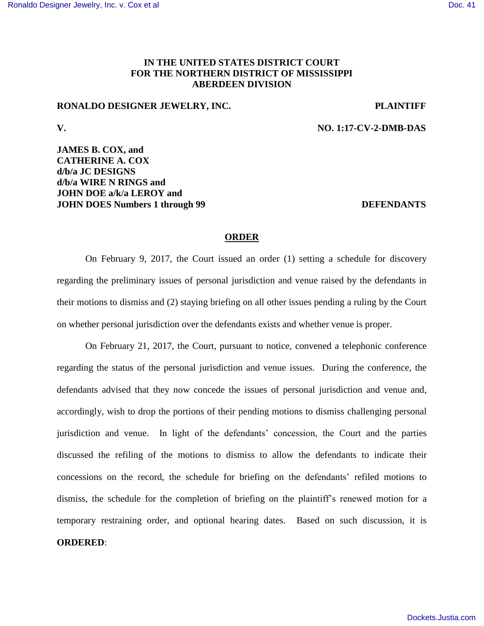## **IN THE UNITED STATES DISTRICT COURT FOR THE NORTHERN DISTRICT OF MISSISSIPPI ABERDEEN DIVISION**

### **RONALDO DESIGNER JEWELRY, INC. PLAINTIFF**

**V. NO. 1:17-CV-2-DMB-DAS**

## **JAMES B. COX, and CATHERINE A. COX d/b/a JC DESIGNS d/b/a WIRE N RINGS and JOHN DOE a/k/a LEROY and JOHN DOES Numbers 1 through 99 DEFENDANTS**

#### **ORDER**

On February 9, 2017, the Court issued an order (1) setting a schedule for discovery regarding the preliminary issues of personal jurisdiction and venue raised by the defendants in their motions to dismiss and (2) staying briefing on all other issues pending a ruling by the Court on whether personal jurisdiction over the defendants exists and whether venue is proper.

On February 21, 2017, the Court, pursuant to notice, convened a telephonic conference regarding the status of the personal jurisdiction and venue issues. During the conference, the defendants advised that they now concede the issues of personal jurisdiction and venue and, accordingly, wish to drop the portions of their pending motions to dismiss challenging personal jurisdiction and venue. In light of the defendants' concession, the Court and the parties discussed the refiling of the motions to dismiss to allow the defendants to indicate their concessions on the record, the schedule for briefing on the defendants' refiled motions to dismiss, the schedule for the completion of briefing on the plaintiff's renewed motion for a temporary restraining order, and optional hearing dates. Based on such discussion, it is **ORDERED**: